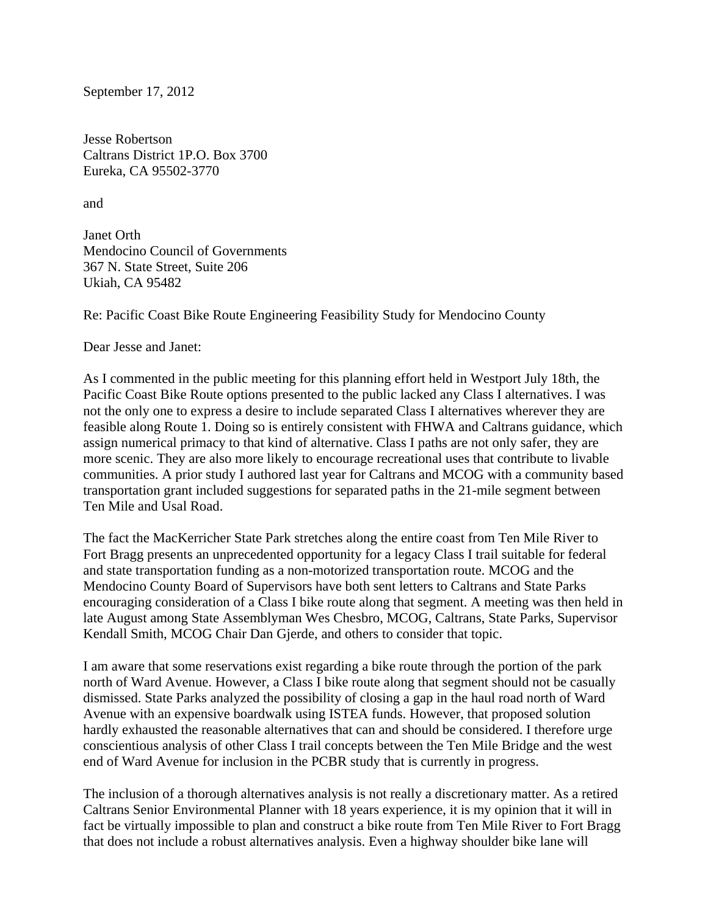September 17, 2012

Jesse Robertson Caltrans District 1P.O. Box 3700 Eureka, CA 95502-3770

and

Janet Orth Mendocino Council of Governments 367 N. State Street, Suite 206 Ukiah, CA 95482

Re: Pacific Coast Bike Route Engineering Feasibility Study for Mendocino County

Dear Jesse and Janet:

As I commented in the public meeting for this planning effort held in Westport July 18th, the Pacific Coast Bike Route options presented to the public lacked any Class I alternatives. I was not the only one to express a desire to include separated Class I alternatives wherever they are feasible along Route 1. Doing so is entirely consistent with FHWA and Caltrans guidance, which assign numerical primacy to that kind of alternative. Class I paths are not only safer, they are more scenic. They are also more likely to encourage recreational uses that contribute to livable communities. A prior study I authored last year for Caltrans and MCOG with a community based transportation grant included suggestions for separated paths in the 21-mile segment between Ten Mile and Usal Road.

The fact the MacKerricher State Park stretches along the entire coast from Ten Mile River to Fort Bragg presents an unprecedented opportunity for a legacy Class I trail suitable for federal and state transportation funding as a non-motorized transportation route. MCOG and the Mendocino County Board of Supervisors have both sent letters to Caltrans and State Parks encouraging consideration of a Class I bike route along that segment. A meeting was then held in late August among State Assemblyman Wes Chesbro, MCOG, Caltrans, State Parks, Supervisor Kendall Smith, MCOG Chair Dan Gjerde, and others to consider that topic.

I am aware that some reservations exist regarding a bike route through the portion of the park north of Ward Avenue. However, a Class I bike route along that segment should not be casually dismissed. State Parks analyzed the possibility of closing a gap in the haul road north of Ward Avenue with an expensive boardwalk using ISTEA funds. However, that proposed solution hardly exhausted the reasonable alternatives that can and should be considered. I therefore urge conscientious analysis of other Class I trail concepts between the Ten Mile Bridge and the west end of Ward Avenue for inclusion in the PCBR study that is currently in progress.

The inclusion of a thorough alternatives analysis is not really a discretionary matter. As a retired Caltrans Senior Environmental Planner with 18 years experience, it is my opinion that it will in fact be virtually impossible to plan and construct a bike route from Ten Mile River to Fort Bragg that does not include a robust alternatives analysis. Even a highway shoulder bike lane will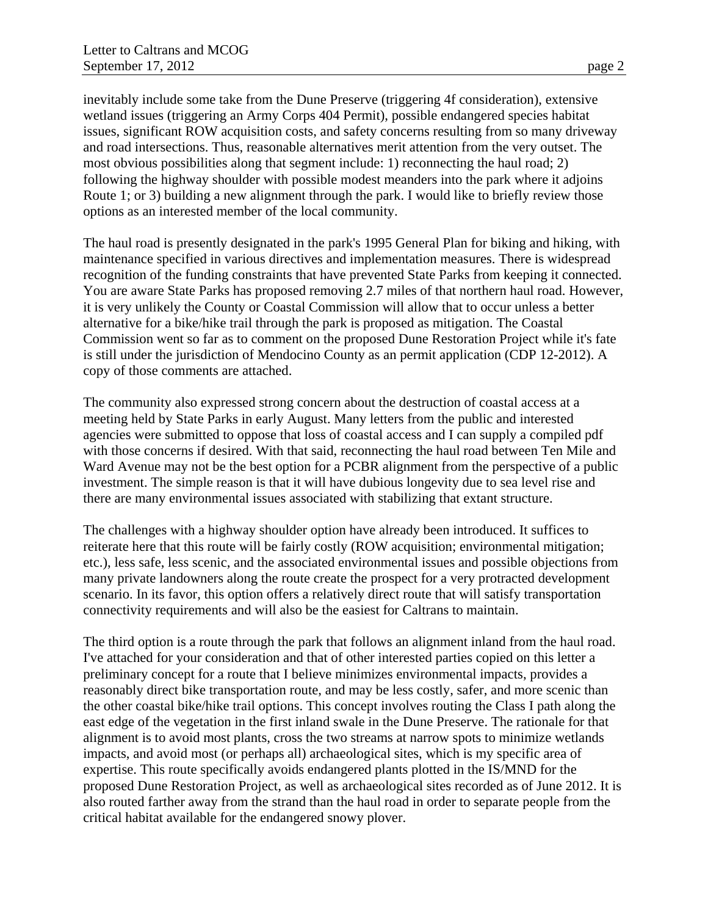inevitably include some take from the Dune Preserve (triggering 4f consideration), extensive wetland issues (triggering an Army Corps 404 Permit), possible endangered species habitat issues, significant ROW acquisition costs, and safety concerns resulting from so many driveway and road intersections. Thus, reasonable alternatives merit attention from the very outset. The most obvious possibilities along that segment include: 1) reconnecting the haul road; 2) following the highway shoulder with possible modest meanders into the park where it adjoins Route 1; or 3) building a new alignment through the park. I would like to briefly review those options as an interested member of the local community.

The haul road is presently designated in the park's 1995 General Plan for biking and hiking, with maintenance specified in various directives and implementation measures. There is widespread recognition of the funding constraints that have prevented State Parks from keeping it connected. You are aware State Parks has proposed removing 2.7 miles of that northern haul road. However, it is very unlikely the County or Coastal Commission will allow that to occur unless a better alternative for a bike/hike trail through the park is proposed as mitigation. The Coastal Commission went so far as to comment on the proposed Dune Restoration Project while it's fate is still under the jurisdiction of Mendocino County as an permit application (CDP 12-2012). A copy of those comments are attached.

The community also expressed strong concern about the destruction of coastal access at a meeting held by State Parks in early August. Many letters from the public and interested agencies were submitted to oppose that loss of coastal access and I can supply a compiled pdf with those concerns if desired. With that said, reconnecting the haul road between Ten Mile and Ward Avenue may not be the best option for a PCBR alignment from the perspective of a public investment. The simple reason is that it will have dubious longevity due to sea level rise and there are many environmental issues associated with stabilizing that extant structure.

The challenges with a highway shoulder option have already been introduced. It suffices to reiterate here that this route will be fairly costly (ROW acquisition; environmental mitigation; etc.), less safe, less scenic, and the associated environmental issues and possible objections from many private landowners along the route create the prospect for a very protracted development scenario. In its favor, this option offers a relatively direct route that will satisfy transportation connectivity requirements and will also be the easiest for Caltrans to maintain.

The third option is a route through the park that follows an alignment inland from the haul road. I've attached for your consideration and that of other interested parties copied on this letter a preliminary concept for a route that I believe minimizes environmental impacts, provides a reasonably direct bike transportation route, and may be less costly, safer, and more scenic than the other coastal bike/hike trail options. This concept involves routing the Class I path along the east edge of the vegetation in the first inland swale in the Dune Preserve. The rationale for that alignment is to avoid most plants, cross the two streams at narrow spots to minimize wetlands impacts, and avoid most (or perhaps all) archaeological sites, which is my specific area of expertise. This route specifically avoids endangered plants plotted in the IS/MND for the proposed Dune Restoration Project, as well as archaeological sites recorded as of June 2012. It is also routed farther away from the strand than the haul road in order to separate people from the critical habitat available for the endangered snowy plover.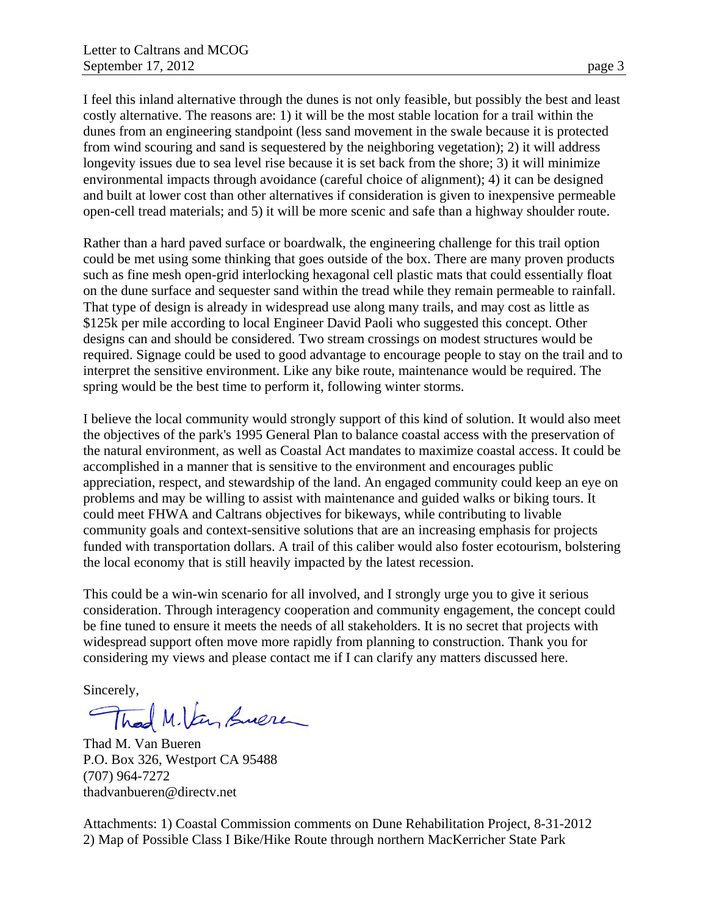I feel this inland alternative through the dunes is not only feasible, but possibly the best and least costly alternative. The reasons are: 1) it will be the most stable location for a trail within the dunes from an engineering standpoint (less sand movement in the swale because it is protected from wind scouring and sand is sequestered by the neighboring vegetation); 2) it will address longevity issues due to sea level rise because it is set back from the shore; 3) it will minimize environmental impacts through avoidance (careful choice of alignment); 4) it can be designed and built at lower cost than other alternatives if consideration is given to inexpensive permeable open-cell tread materials; and 5) it will be more scenic and safe than a highway shoulder route.

Rather than a hard paved surface or boardwalk, the engineering challenge for this trail option could be met using some thinking that goes outside of the box. There are many proven products such as fine mesh open-grid interlocking hexagonal cell plastic mats that could essentially float on the dune surface and sequester sand within the tread while they remain permeable to rainfall. That type of design is already in widespread use along many trails, and may cost as little as \$125k per mile according to local Engineer David Paoli who suggested this concept. Other designs can and should be considered. Two stream crossings on modest structures would be required. Signage could be used to good advantage to encourage people to stay on the trail and to interpret the sensitive environment. Like any bike route, maintenance would be required. The spring would be the best time to perform it, following winter storms.

I believe the local community would strongly support of this kind of solution. It would also meet the objectives of the park's 1995 General Plan to balance coastal access with the preservation of the natural environment, as well as Coastal Act mandates to maximize coastal access. It could be accomplished in a manner that is sensitive to the environment and encourages public appreciation, respect, and stewardship of the land. An engaged community could keep an eye on problems and may be willing to assist with maintenance and guided walks or biking tours. It could meet FHWA and Caltrans objectives for bikeways, while contributing to livable community goals and context-sensitive solutions that are an increasing emphasis for projects funded with transportation dollars. A trail of this caliber would also foster ecotourism, bolstering the local economy that is still heavily impacted by the latest recession.

This could be a win-win scenario for all involved, and I strongly urge you to give it serious consideration. Through interagency cooperation and community engagement, the concept could be fine tuned to ensure it meets the needs of all stakeholders. It is no secret that projects with widespread support often move more rapidly from planning to construction. Thank you for considering my views and please contact me if I can clarify any matters discussed here.

Sincerely,

Thad M. Van Suere

Thad M. Van Bueren P.O. Box 326, Westport CA 95488 (707) 964-7272 thadvanbueren@directv.net

Attachments: 1) Coastal Commission comments on Dune Rehabilitation Project, 8-31-2012 2) Map of Possible Class I Bike/Hike Route through northern MacKerricher State Park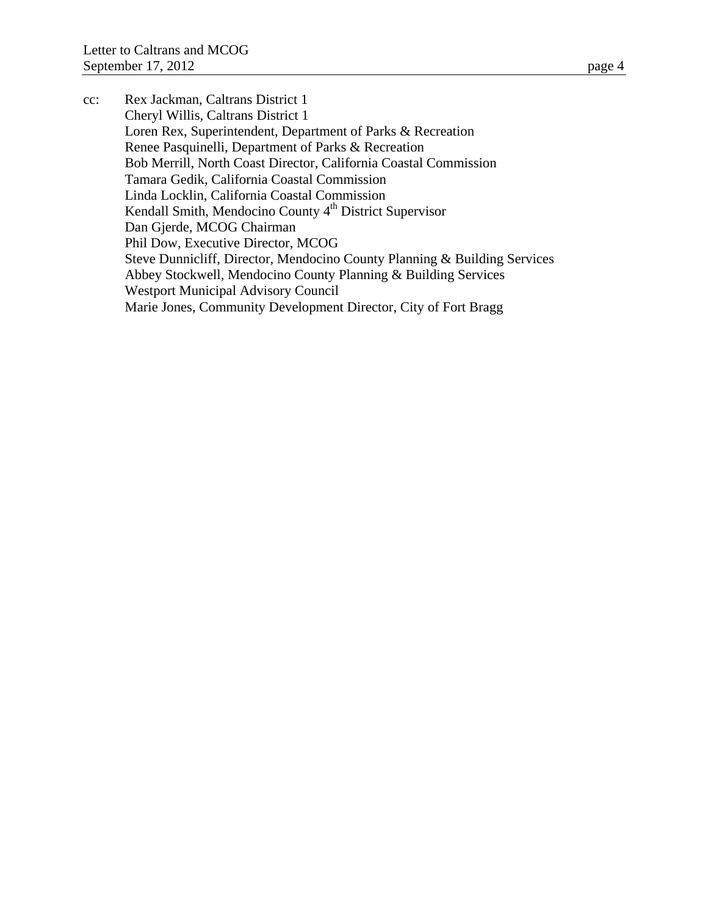cc: Rex Jackman, Caltrans District 1 Cheryl Willis, Caltrans District 1 Loren Rex, Superintendent, Department of Parks & Recreation Renee Pasquinelli, Department of Parks & Recreation Bob Merrill, North Coast Director, California Coastal Commission Tamara Gedik, California Coastal Commission Linda Locklin, California Coastal Commission Kendall Smith, Mendocino County 4<sup>th</sup> District Supervisor Dan Gjerde, MCOG Chairman Phil Dow, Executive Director, MCOG Steve Dunnicliff, Director, Mendocino County Planning & Building Services Abbey Stockwell, Mendocino County Planning & Building Services Westport Municipal Advisory Council Marie Jones, Community Development Director, City of Fort Bragg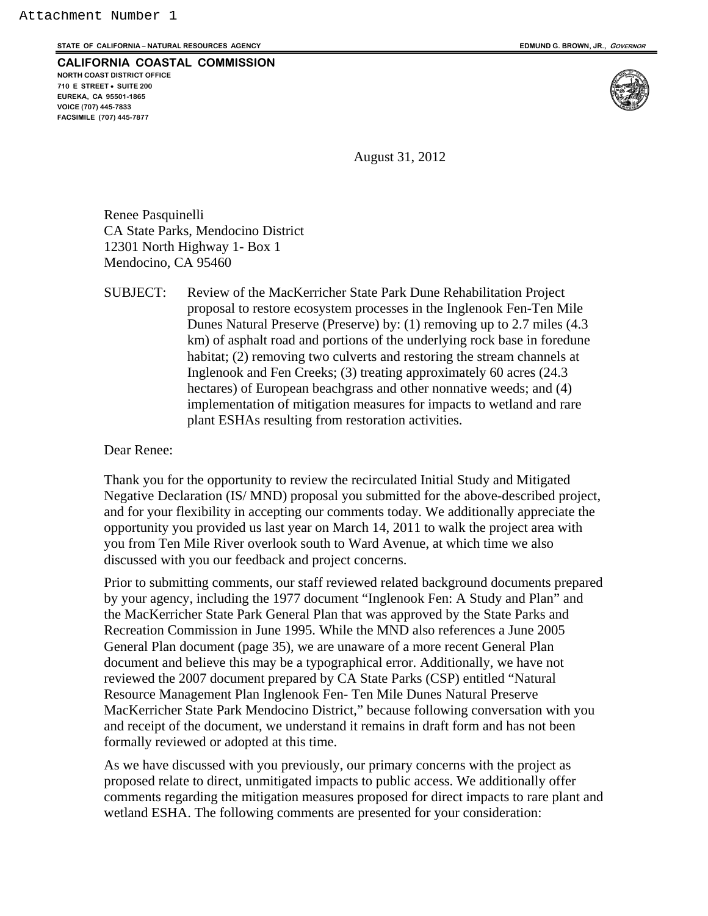**STATE OF CALIFORNIA – NATURAL RESOURCES AGENCY EDMUND G. BROWN, JR., GOVERNOR**

**CALIFORNIA COASTAL COMMISSION NORTH COAST DISTRICT OFFICE** 

**710 E STREET SUITE 200 EUREKA, CA 95501-1865 VOICE (707) 445-7833 FACSIMILE (707) 445-7877** 



August 31, 2012

Renee Pasquinelli CA State Parks, Mendocino District 12301 North Highway 1- Box 1 Mendocino, CA 95460

SUBJECT: Review of the MacKerricher State Park Dune Rehabilitation Project proposal to restore ecosystem processes in the Inglenook Fen-Ten Mile Dunes Natural Preserve (Preserve) by: (1) removing up to 2.7 miles (4.3 km) of asphalt road and portions of the underlying rock base in foredune habitat; (2) removing two culverts and restoring the stream channels at Inglenook and Fen Creeks; (3) treating approximately 60 acres (24.3 hectares) of European beachgrass and other nonnative weeds; and (4) implementation of mitigation measures for impacts to wetland and rare plant ESHAs resulting from restoration activities.

Dear Renee:

Thank you for the opportunity to review the recirculated Initial Study and Mitigated Negative Declaration (IS/ MND) proposal you submitted for the above-described project, and for your flexibility in accepting our comments today. We additionally appreciate the opportunity you provided us last year on March 14, 2011 to walk the project area with you from Ten Mile River overlook south to Ward Avenue, at which time we also discussed with you our feedback and project concerns.

Prior to submitting comments, our staff reviewed related background documents prepared by your agency, including the 1977 document "Inglenook Fen: A Study and Plan" and the MacKerricher State Park General Plan that was approved by the State Parks and Recreation Commission in June 1995. While the MND also references a June 2005 General Plan document (page 35), we are unaware of a more recent General Plan document and believe this may be a typographical error. Additionally, we have not reviewed the 2007 document prepared by CA State Parks (CSP) entitled "Natural Resource Management Plan Inglenook Fen- Ten Mile Dunes Natural Preserve MacKerricher State Park Mendocino District," because following conversation with you and receipt of the document, we understand it remains in draft form and has not been formally reviewed or adopted at this time.

As we have discussed with you previously, our primary concerns with the project as proposed relate to direct, unmitigated impacts to public access. We additionally offer comments regarding the mitigation measures proposed for direct impacts to rare plant and wetland ESHA. The following comments are presented for your consideration: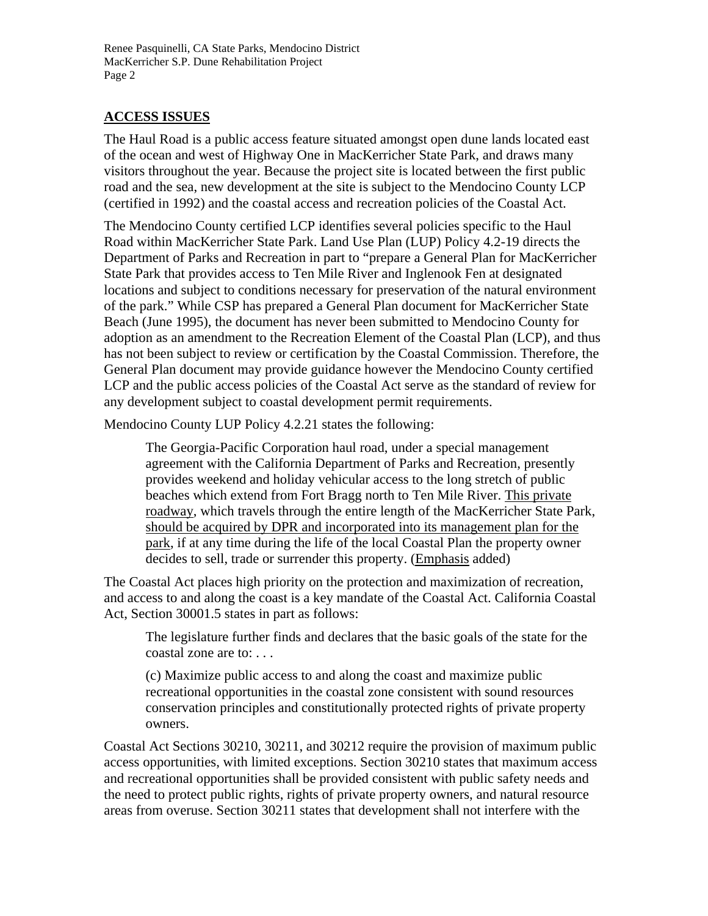Renee Pasquinelli, CA State Parks, Mendocino District MacKerricher S.P. Dune Rehabilitation Project Page 2

## **ACCESS ISSUES**

The Haul Road is a public access feature situated amongst open dune lands located east of the ocean and west of Highway One in MacKerricher State Park, and draws many visitors throughout the year. Because the project site is located between the first public road and the sea, new development at the site is subject to the Mendocino County LCP (certified in 1992) and the coastal access and recreation policies of the Coastal Act.

The Mendocino County certified LCP identifies several policies specific to the Haul Road within MacKerricher State Park. Land Use Plan (LUP) Policy 4.2-19 directs the Department of Parks and Recreation in part to "prepare a General Plan for MacKerricher State Park that provides access to Ten Mile River and Inglenook Fen at designated locations and subject to conditions necessary for preservation of the natural environment of the park." While CSP has prepared a General Plan document for MacKerricher State Beach (June 1995), the document has never been submitted to Mendocino County for adoption as an amendment to the Recreation Element of the Coastal Plan (LCP), and thus has not been subject to review or certification by the Coastal Commission. Therefore, the General Plan document may provide guidance however the Mendocino County certified LCP and the public access policies of the Coastal Act serve as the standard of review for any development subject to coastal development permit requirements.

Mendocino County LUP Policy 4.2.21 states the following:

The Georgia-Pacific Corporation haul road, under a special management agreement with the California Department of Parks and Recreation, presently provides weekend and holiday vehicular access to the long stretch of public beaches which extend from Fort Bragg north to Ten Mile River. This private roadway, which travels through the entire length of the MacKerricher State Park, should be acquired by DPR and incorporated into its management plan for the park, if at any time during the life of the local Coastal Plan the property owner decides to sell, trade or surrender this property. (Emphasis added)

The Coastal Act places high priority on the protection and maximization of recreation, and access to and along the coast is a key mandate of the Coastal Act. California Coastal Act, Section 30001.5 states in part as follows:

The legislature further finds and declares that the basic goals of the state for the coastal zone are to: . . .

(c) Maximize public access to and along the coast and maximize public recreational opportunities in the coastal zone consistent with sound resources conservation principles and constitutionally protected rights of private property owners.

Coastal Act Sections 30210, 30211, and 30212 require the provision of maximum public access opportunities, with limited exceptions. Section 30210 states that maximum access and recreational opportunities shall be provided consistent with public safety needs and the need to protect public rights, rights of private property owners, and natural resource areas from overuse. Section 30211 states that development shall not interfere with the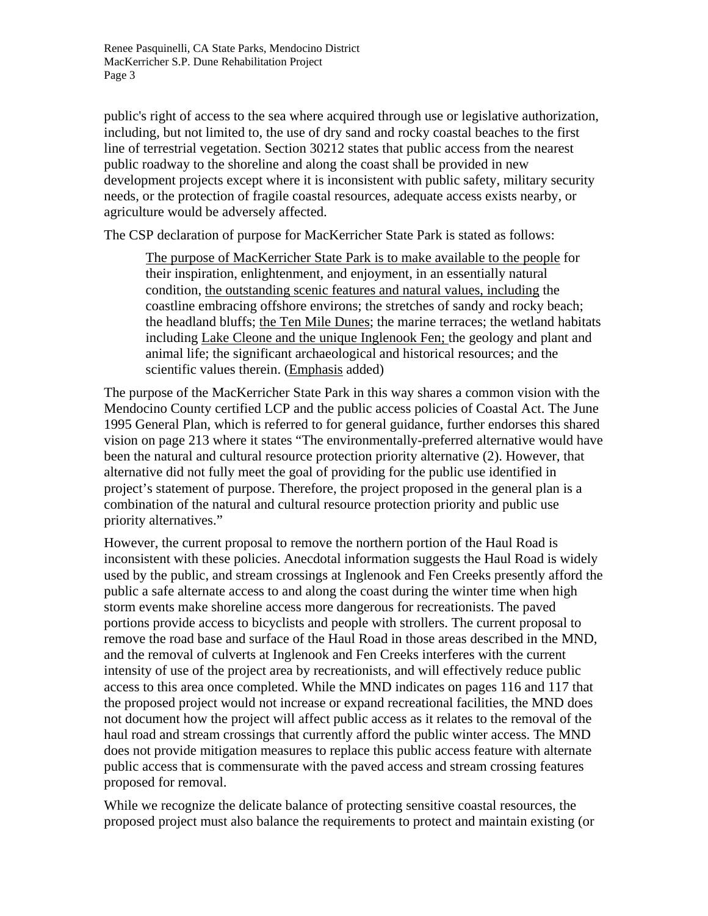Renee Pasquinelli, CA State Parks, Mendocino District MacKerricher S.P. Dune Rehabilitation Project Page 3

public's right of access to the sea where acquired through use or legislative authorization, including, but not limited to, the use of dry sand and rocky coastal beaches to the first line of terrestrial vegetation. Section 30212 states that public access from the nearest public roadway to the shoreline and along the coast shall be provided in new development projects except where it is inconsistent with public safety, military security needs, or the protection of fragile coastal resources, adequate access exists nearby, or agriculture would be adversely affected.

The CSP declaration of purpose for MacKerricher State Park is stated as follows:

The purpose of MacKerricher State Park is to make available to the people for their inspiration, enlightenment, and enjoyment, in an essentially natural condition, the outstanding scenic features and natural values, including the coastline embracing offshore environs; the stretches of sandy and rocky beach; the headland bluffs; the Ten Mile Dunes; the marine terraces; the wetland habitats including Lake Cleone and the unique Inglenook Fen; the geology and plant and animal life; the significant archaeological and historical resources; and the scientific values therein. (Emphasis added)

The purpose of the MacKerricher State Park in this way shares a common vision with the Mendocino County certified LCP and the public access policies of Coastal Act. The June 1995 General Plan, which is referred to for general guidance, further endorses this shared vision on page 213 where it states "The environmentally-preferred alternative would have been the natural and cultural resource protection priority alternative (2). However, that alternative did not fully meet the goal of providing for the public use identified in project's statement of purpose. Therefore, the project proposed in the general plan is a combination of the natural and cultural resource protection priority and public use priority alternatives."

However, the current proposal to remove the northern portion of the Haul Road is inconsistent with these policies. Anecdotal information suggests the Haul Road is widely used by the public, and stream crossings at Inglenook and Fen Creeks presently afford the public a safe alternate access to and along the coast during the winter time when high storm events make shoreline access more dangerous for recreationists. The paved portions provide access to bicyclists and people with strollers. The current proposal to remove the road base and surface of the Haul Road in those areas described in the MND, and the removal of culverts at Inglenook and Fen Creeks interferes with the current intensity of use of the project area by recreationists, and will effectively reduce public access to this area once completed. While the MND indicates on pages 116 and 117 that the proposed project would not increase or expand recreational facilities, the MND does not document how the project will affect public access as it relates to the removal of the haul road and stream crossings that currently afford the public winter access. The MND does not provide mitigation measures to replace this public access feature with alternate public access that is commensurate with the paved access and stream crossing features proposed for removal.

While we recognize the delicate balance of protecting sensitive coastal resources, the proposed project must also balance the requirements to protect and maintain existing (or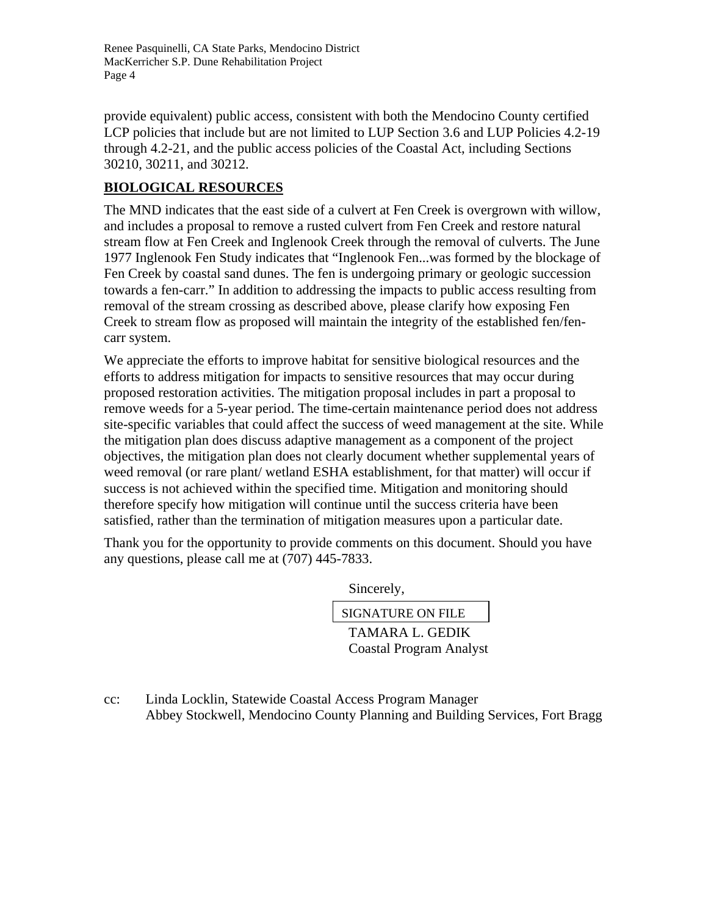Renee Pasquinelli, CA State Parks, Mendocino District MacKerricher S.P. Dune Rehabilitation Project Page 4

provide equivalent) public access, consistent with both the Mendocino County certified LCP policies that include but are not limited to LUP Section 3.6 and LUP Policies 4.2-19 through 4.2-21, and the public access policies of the Coastal Act, including Sections 30210, 30211, and 30212.

## **BIOLOGICAL RESOURCES**

The MND indicates that the east side of a culvert at Fen Creek is overgrown with willow, and includes a proposal to remove a rusted culvert from Fen Creek and restore natural stream flow at Fen Creek and Inglenook Creek through the removal of culverts. The June 1977 Inglenook Fen Study indicates that "Inglenook Fen...was formed by the blockage of Fen Creek by coastal sand dunes. The fen is undergoing primary or geologic succession towards a fen-carr." In addition to addressing the impacts to public access resulting from removal of the stream crossing as described above, please clarify how exposing Fen Creek to stream flow as proposed will maintain the integrity of the established fen/fencarr system.

We appreciate the efforts to improve habitat for sensitive biological resources and the efforts to address mitigation for impacts to sensitive resources that may occur during proposed restoration activities. The mitigation proposal includes in part a proposal to remove weeds for a 5-year period. The time-certain maintenance period does not address site-specific variables that could affect the success of weed management at the site. While the mitigation plan does discuss adaptive management as a component of the project objectives, the mitigation plan does not clearly document whether supplemental years of weed removal (or rare plant/ wetland ESHA establishment, for that matter) will occur if success is not achieved within the specified time. Mitigation and monitoring should therefore specify how mitigation will continue until the success criteria have been satisfied, rather than the termination of mitigation measures upon a particular date.

Thank you for the opportunity to provide comments on this document. Should you have any questions, please call me at (707) 445-7833.

Sincerely,

TAMARA L. GEDIK SIGNATURE ON FILE

Coastal Program Analyst

cc: Linda Locklin, Statewide Coastal Access Program Manager Abbey Stockwell, Mendocino County Planning and Building Services, Fort Bragg